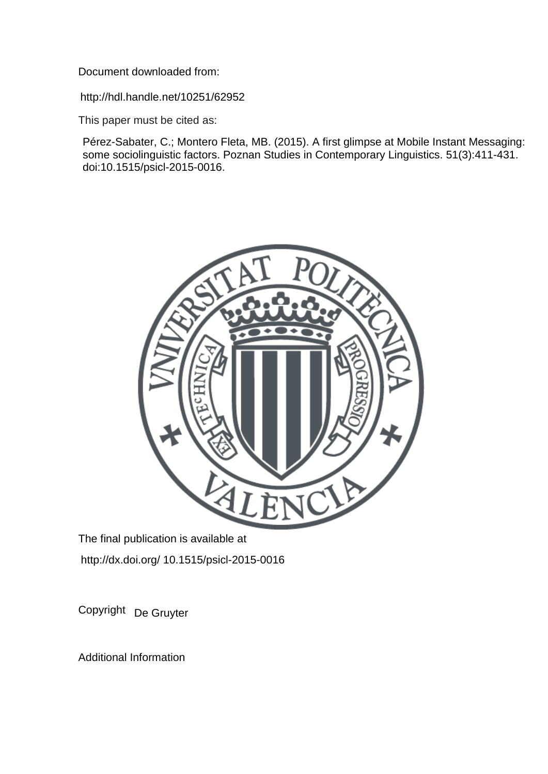Document downloaded from:

http://hdl.handle.net/10251/62952

This paper must be cited as:

Pérez-Sabater, C.; Montero Fleta, MB. (2015). A first glimpse at Mobile Instant Messaging: some sociolinguistic factors. Poznan Studies in Contemporary Linguistics. 51(3):411-431. doi:10.1515/psicl-2015-0016.



The final publication is available at http://dx.doi.org/ 10.1515/psicl-2015-0016

Copyright De Gruyter

Additional Information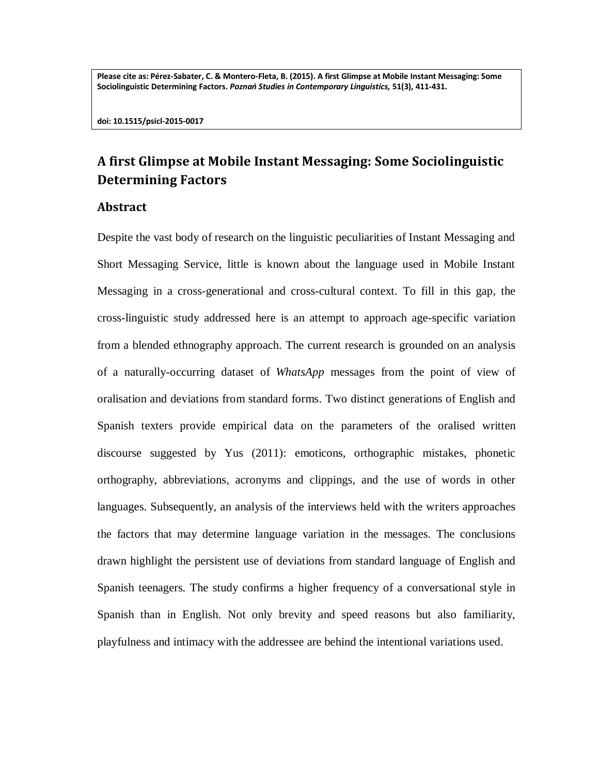**Please cite as: Pérez-Sabater, C. & Montero-Fleta, B. (2015). A first Glimpse at Mobile Instant Messaging: Some Sociolinguistic Determining Factors.** *Poznań Studies in Contemporary Linguistics,* **51(3), 411-431.**

**doi: 10.1515/psicl-2015-0017**

# **A first Glimpse at Mobile Instant Messaging: Some Sociolinguistic Determining Factors**

## **Abstract**

Despite the vast body of research on the linguistic peculiarities of Instant Messaging and Short Messaging Service, little is known about the language used in Mobile Instant Messaging in a cross-generational and cross-cultural context. To fill in this gap, the cross-linguistic study addressed here is an attempt to approach age-specific variation from a blended ethnography approach. The current research is grounded on an analysis of a naturally-occurring dataset of *WhatsApp* messages from the point of view of oralisation and deviations from standard forms. Two distinct generations of English and Spanish texters provide empirical data on the parameters of the oralised written discourse suggested by Yus (2011): emoticons, orthographic mistakes, phonetic orthography, abbreviations, acronyms and clippings, and the use of words in other languages. Subsequently, an analysis of the interviews held with the writers approaches the factors that may determine language variation in the messages. The conclusions drawn highlight the persistent use of deviations from standard language of English and Spanish teenagers. The study confirms a higher frequency of a conversational style in Spanish than in English. Not only brevity and speed reasons but also familiarity, playfulness and intimacy with the addressee are behind the intentional variations used.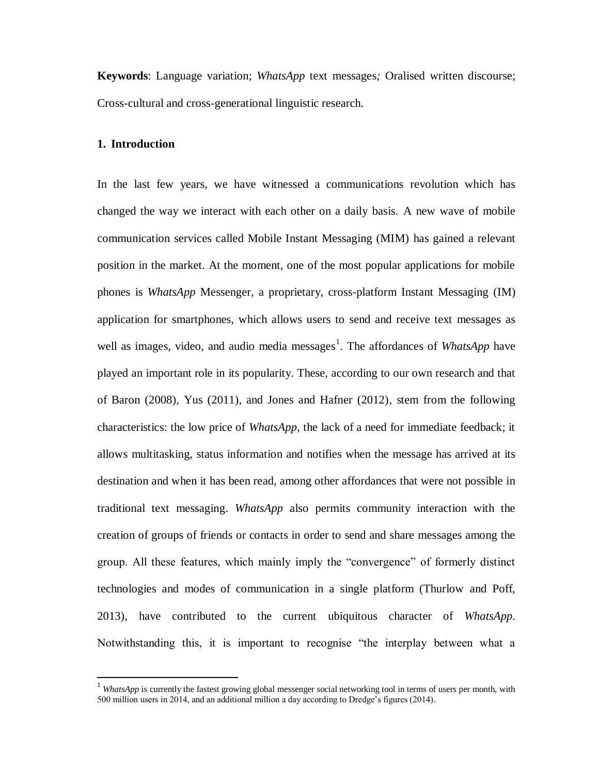**Keywords**: Language variation; *WhatsApp* text messages*;* Oralised written discourse; Cross-cultural and cross-generational linguistic research.

# **1. Introduction**

 $\overline{\phantom{a}}$ 

In the last few years, we have witnessed a communications revolution which has changed the way we interact with each other on a daily basis. A new wave of mobile communication services called Mobile Instant Messaging (MIM) has gained a relevant position in the market. At the moment, one of the most popular applications for mobile phones is *WhatsApp* Messenger, a [proprietary,](http://en.wikipedia.org/wiki/Proprietary_software) [cross-platform](http://en.wikipedia.org/wiki/Cross-platform) [Instant Messaging](http://en.wikipedia.org/wiki/Instant_messaging) (IM) application for [smartphones,](http://en.wikipedia.org/wiki/Smartphones) which allows users to send and receive text messages as well as images, video, and audio media messages<sup>1</sup>. The affordances of *WhatsApp* have played an important role in its popularity. These, according to our own research and that of Baron (2008), Yus (2011), and Jones and Hafner (2012), stem from the following characteristics: the low price of *WhatsApp*, the lack of a need for immediate feedback; it allows multitasking, status information and notifies when the message has arrived at its destination and when it has been read, among other affordances that were not possible in traditional text messaging. *WhatsApp* also permits community interaction with the creation of groups of friends or contacts in order to send and share messages among the group. All these features, which mainly imply the "convergence" of formerly distinct technologies and modes of communication in a single platform (Thurlow and Poff, 2013), have contributed to the current ubiquitous character of *WhatsApp.*  Notwithstanding this, it is important to recognise "the interplay between what a

<sup>&</sup>lt;sup>1</sup> *WhatsApp* is currently the fastest growing global messenger social networking tool in terms of users per month, with 500 million users in 2014, and an additional million a day according to Dredge's figures (2014).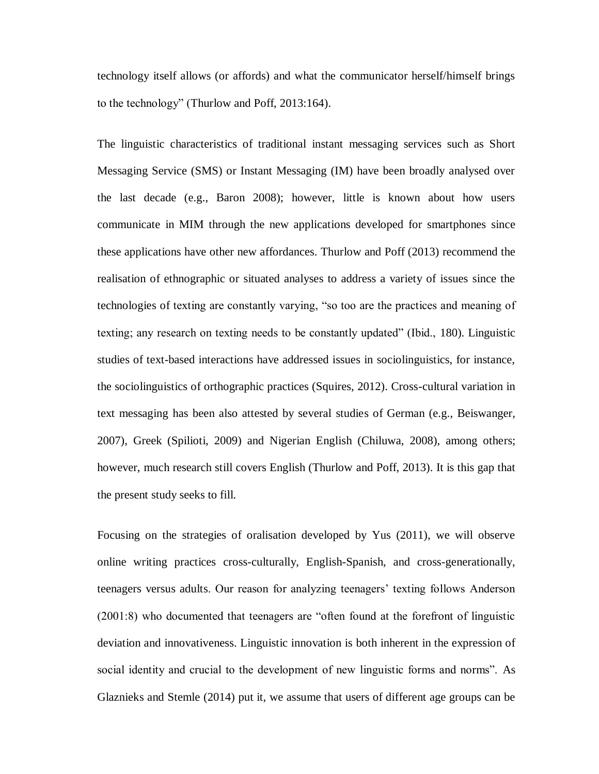technology itself allows (or affords) and what the communicator herself/himself brings to the technology" (Thurlow and Poff, 2013:164).

The linguistic characteristics of traditional instant messaging services such as Short Messaging Service (SMS) or Instant Messaging (IM) have been broadly analysed over the last decade (e.g., Baron 2008); however, little is known about how users communicate in MIM through the new applications developed for smartphones since these applications have other new affordances. Thurlow and Poff (2013) recommend the realisation of ethnographic or situated analyses to address a variety of issues since the technologies of texting are constantly varying, "so too are the practices and meaning of texting; any research on texting needs to be constantly updated" (Ibid., 180). Linguistic studies of text-based interactions have addressed issues in sociolinguistics, for instance, the sociolinguistics of orthographic practices (Squires, 2012). Cross-cultural variation in text messaging has been also attested by several studies of German (e.g., Beiswanger, 2007), Greek (Spilioti, 2009) and Nigerian English (Chiluwa, 2008), among others; however, much research still covers English (Thurlow and Poff, 2013). It is this gap that the present study seeks to fill.

Focusing on the strategies of oralisation developed by Yus (2011), we will observe online writing practices cross-culturally, English-Spanish, and cross-generationally, teenagers versus adults. Our reason for analyzing teenagers' texting follows Anderson (2001:8) who documented that teenagers are "often found at the forefront of linguistic deviation and innovativeness. Linguistic innovation is both inherent in the expression of social identity and crucial to the development of new linguistic forms and norms". As Glaznieks and Stemle (2014) put it, we assume that users of different age groups can be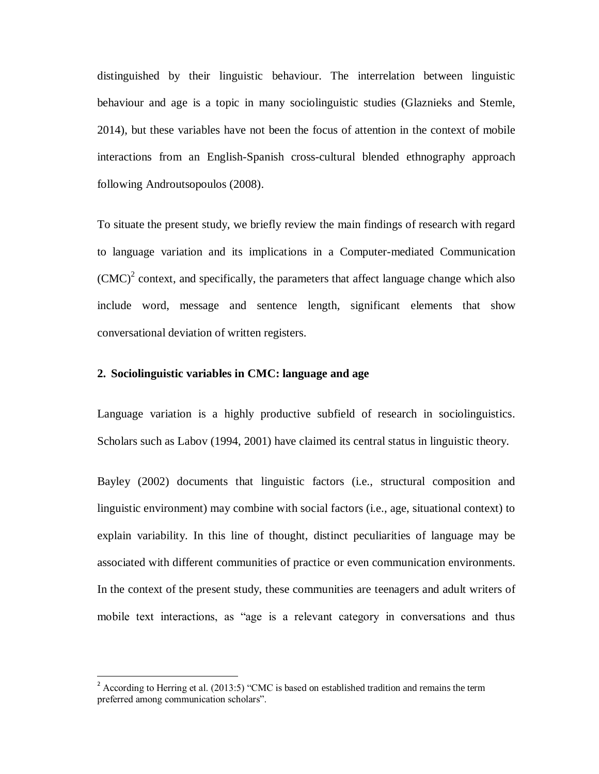distinguished by their linguistic behaviour. The interrelation between linguistic behaviour and age is a topic in many sociolinguistic studies (Glaznieks and Stemle, 2014), but these variables have not been the focus of attention in the context of mobile interactions from an English-Spanish cross-cultural blended ethnography approach following Androutsopoulos (2008).

To situate the present study, we briefly review the main findings of research with regard to language variation and its implications in a Computer-mediated Communication  $(CMC)^2$  context, and specifically, the parameters that affect language change which also include word, message and sentence length, significant elements that show conversational deviation of written registers.

# **2. Sociolinguistic variables in CMC: language and age**

 $\overline{a}$ 

Language variation is a highly productive subfield of research in sociolinguistics. Scholars such as Labov (1994, 2001) have claimed its central status in linguistic theory.

Bayley (2002) documents that linguistic factors (i.e., structural composition and linguistic environment) may combine with social factors (i.e., age, situational context) to explain variability. In this line of thought, distinct peculiarities of language may be associated with different communities of practice or even communication environments. In the context of the present study, these communities are teenagers and adult writers of mobile text interactions, as "age is a relevant category in conversations and thus

 $2$  According to Herring et al. (2013:5) "CMC is based on established tradition and remains the term preferred among communication scholars".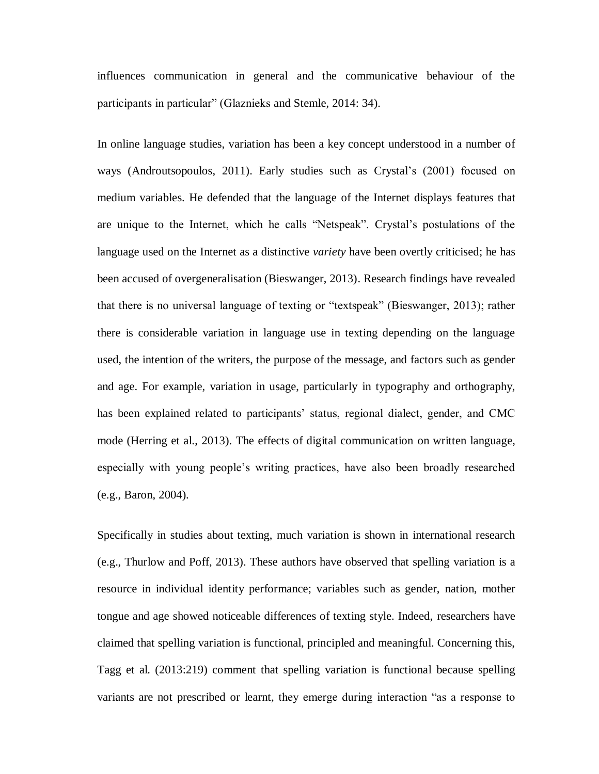influences communication in general and the communicative behaviour of the participants in particular" (Glaznieks and Stemle, 2014: 34).

In online language studies, variation has been a key concept understood in a number of ways (Androutsopoulos, 2011). Early studies such as Crystal's (2001) focused on medium variables. He defended that the language of the Internet displays features that are unique to the Internet, which he calls "Netspeak". Crystal's postulations of the language used on the Internet as a distinctive *variety* have been overtly criticised; he has been accused of overgeneralisation (Bieswanger, 2013). Research findings have revealed that there is no universal language of texting or "textspeak" (Bieswanger, 2013); rather there is considerable variation in language use in texting depending on the language used, the intention of the writers, the purpose of the message, and factors such as gender and age. For example, variation in usage, particularly in typography and orthography, has been explained related to participants' status, regional dialect, gender, and CMC mode (Herring et al., 2013). The effects of digital communication on written language, especially with young people's writing practices, have also been broadly researched (e.g., Baron, 2004).

Specifically in studies about texting, much variation is shown in international research (e.g., Thurlow and Poff, 2013). These authors have observed that spelling variation is a resource in individual identity performance; variables such as gender, nation, mother tongue and age showed noticeable differences of texting style. Indeed, researchers have claimed that spelling variation is functional, principled and meaningful. Concerning this, Tagg et al. (2013:219) comment that spelling variation is functional because spelling variants are not prescribed or learnt, they emerge during interaction "as a response to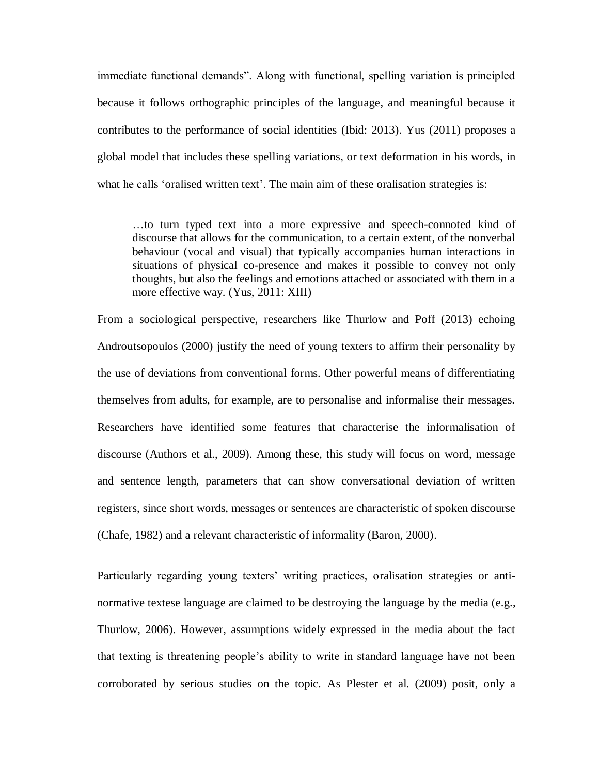immediate functional demands". Along with functional, spelling variation is principled because it follows orthographic principles of the language, and meaningful because it contributes to the performance of social identities (Ibid: 2013). Yus (2011) proposes a global model that includes these spelling variations, or text deformation in his words, in what he calls 'oralised written text'. The main aim of these oralisation strategies is:

…to turn typed text into a more expressive and speech-connoted kind of discourse that allows for the communication, to a certain extent, of the nonverbal behaviour (vocal and visual) that typically accompanies human interactions in situations of physical co-presence and makes it possible to convey not only thoughts, but also the feelings and emotions attached or associated with them in a more effective way. (Yus, 2011: XIII)

From a sociological perspective, researchers like Thurlow and Poff (2013) echoing Androutsopoulos (2000) justify the need of young texters to affirm their personality by the use of deviations from conventional forms. Other powerful means of differentiating themselves from adults, for example, are to personalise and informalise their messages. Researchers have identified some features that characterise the informalisation of discourse (Authors et al., 2009). Among these, this study will focus on word, message and sentence length, parameters that can show conversational deviation of written registers, since short words, messages or sentences are characteristic of spoken discourse (Chafe, 1982) and a relevant characteristic of informality (Baron, 2000).

Particularly regarding young texters' writing practices, oralisation strategies or antinormative textese language are claimed to be destroying the language by the media (e.g., Thurlow, 2006). However, assumptions widely expressed in the media about the fact that texting is threatening people's ability to write in standard language have not been corroborated by serious studies on the topic. As Plester et al. (2009) posit, only a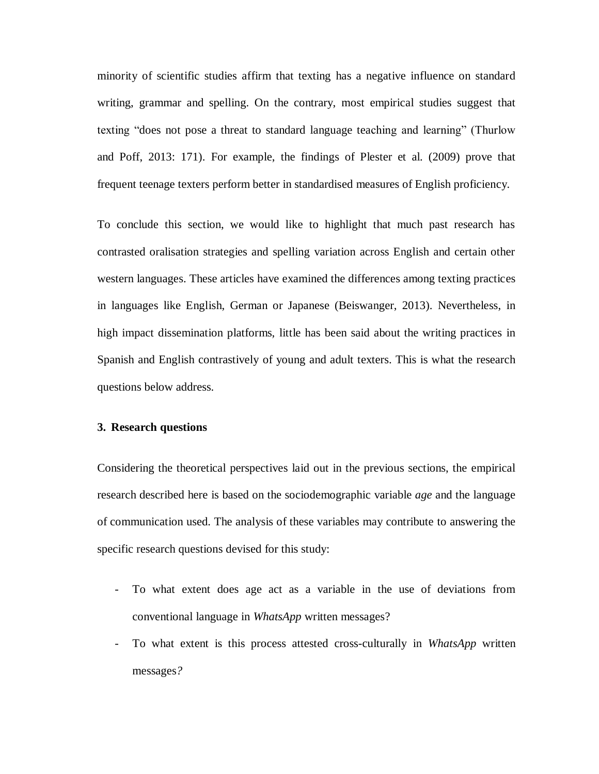minority of scientific studies affirm that texting has a negative influence on standard writing, grammar and spelling. On the contrary, most empirical studies suggest that texting "does not pose a threat to standard language teaching and learning" (Thurlow and Poff, 2013: 171). For example, the findings of Plester et al. (2009) prove that frequent teenage texters perform better in standardised measures of English proficiency.

To conclude this section, we would like to highlight that much past research has contrasted oralisation strategies and spelling variation across English and certain other western languages. These articles have examined the differences among texting practices in languages like English, German or Japanese (Beiswanger, 2013). Nevertheless, in high impact dissemination platforms, little has been said about the writing practices in Spanish and English contrastively of young and adult texters. This is what the research questions below address.

# **3. Research questions**

Considering the theoretical perspectives laid out in the previous sections, the empirical research described here is based on the sociodemographic variable *age* and the language of communication used. The analysis of these variables may contribute to answering the specific research questions devised for this study:

- To what extent does age act as a variable in the use of deviations from conventional language in *WhatsApp* written messages?
- To what extent is this process attested cross-culturally in *WhatsApp* written messages*?*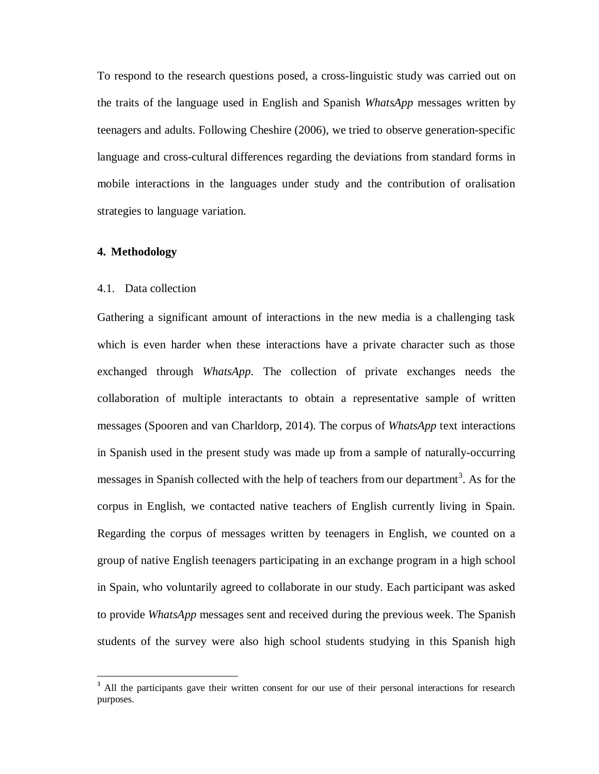To respond to the research questions posed, a cross-linguistic study was carried out on the traits of the language used in English and Spanish *WhatsApp* messages written by teenagers and adults. Following Cheshire (2006), we tried to observe generation-specific language and cross-cultural differences regarding the deviations from standard forms in mobile interactions in the languages under study and the contribution of oralisation strategies to language variation.

#### **4. Methodology**

 $\overline{a}$ 

#### 4.1. Data collection

Gathering a significant amount of interactions in the new media is a challenging task which is even harder when these interactions have a private character such as those exchanged through *WhatsApp*. The collection of private exchanges needs the collaboration of multiple interactants to obtain a representative sample of written messages (Spooren and van Charldorp, 2014). The corpus of *WhatsApp* text interactions in Spanish used in the present study was made up from a sample of naturally-occurring messages in Spanish collected with the help of teachers from our department<sup>3</sup>. As for the corpus in English, we contacted native teachers of English currently living in Spain. Regarding the corpus of messages written by teenagers in English, we counted on a group of native English teenagers participating in an exchange program in a high school in Spain, who voluntarily agreed to collaborate in our study. Each participant was asked to provide *WhatsApp* messages sent and received during the previous week. The Spanish students of the survey were also high school students studying in this Spanish high

<sup>&</sup>lt;sup>3</sup> All the participants gave their written consent for our use of their personal interactions for research purposes.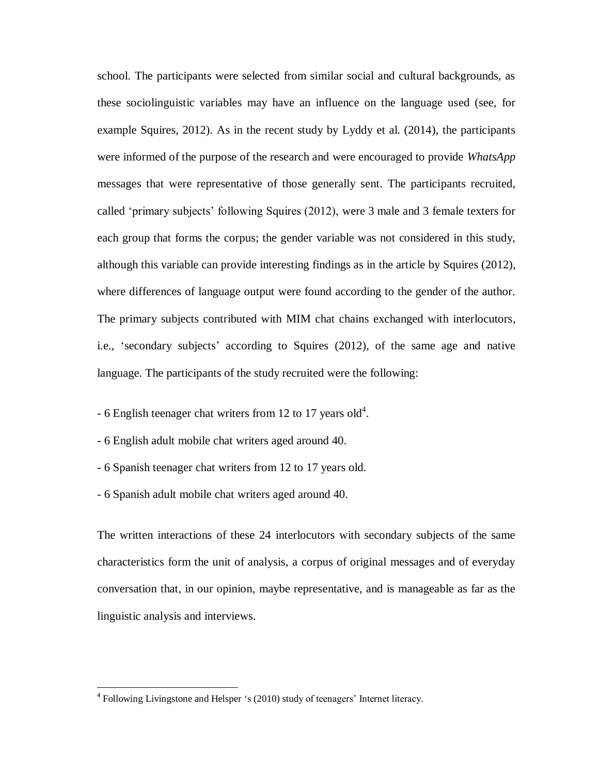school. The participants were selected from similar social and cultural backgrounds, as these sociolinguistic variables may have an influence on the language used (see, for example Squires, 2012). As in the recent study by Lyddy et al. (2014), the participants were informed of the purpose of the research and were encouraged to provide *WhatsApp* messages that were representative of those generally sent. The participants recruited, called 'primary subjects' following Squires (2012), were 3 male and 3 female texters for each group that forms the corpus; the gender variable was not considered in this study, although this variable can provide interesting findings as in the article by Squires (2012), where differences of language output were found according to the gender of the author. The primary subjects contributed with MIM chat chains exchanged with interlocutors, i.e., 'secondary subjects' according to Squires (2012), of the same age and native language. The participants of the study recruited were the following:

- 6 English teenager chat writers from 12 to 17 years old<sup>4</sup>.
- 6 English adult mobile chat writers aged around 40.
- 6 Spanish teenager chat writers from 12 to 17 years old.
- 6 Spanish adult mobile chat writers aged around 40.

 $\overline{a}$ 

The written interactions of these 24 interlocutors with secondary subjects of the same characteristics form the unit of analysis, a corpus of original messages and of everyday conversation that, in our opinion, maybe representative, and is manageable as far as the linguistic analysis and interviews.

<sup>&</sup>lt;sup>4</sup> Following Livingstone and Helsper 's (2010) study of teenagers' Internet literacy.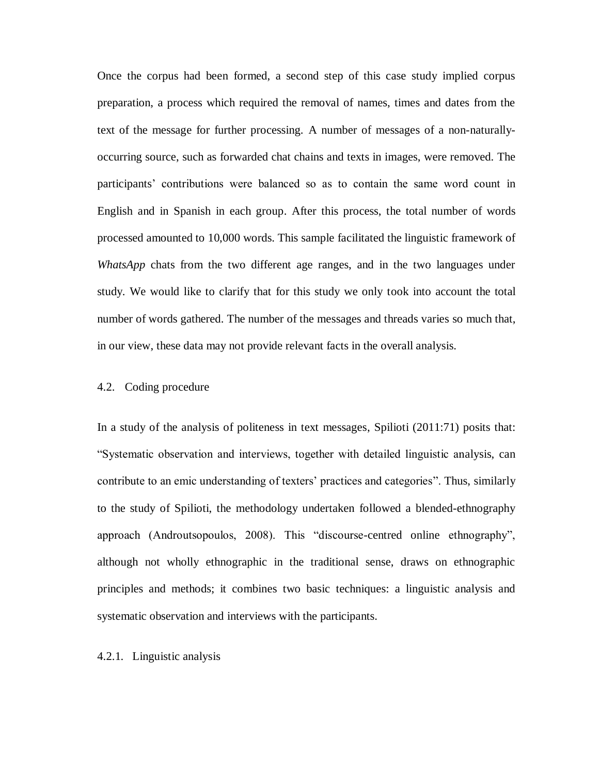Once the corpus had been formed, a second step of this case study implied corpus preparation, a process which required the removal of names, times and dates from the text of the message for further processing. A number of messages of a non-naturallyoccurring source, such as forwarded chat chains and texts in images, were removed. The participants' contributions were balanced so as to contain the same word count in English and in Spanish in each group. After this process, the total number of words processed amounted to 10,000 words. This sample facilitated the linguistic framework of *WhatsApp* chats from the two different age ranges, and in the two languages under study. We would like to clarify that for this study we only took into account the total number of words gathered. The number of the messages and threads varies so much that, in our view, these data may not provide relevant facts in the overall analysis.

## 4.2. Coding procedure

In a study of the analysis of politeness in text messages, Spilioti (2011:71) posits that: "Systematic observation and interviews, together with detailed linguistic analysis, can contribute to an emic understanding of texters' practices and categories". Thus, similarly to the study of Spilioti, the methodology undertaken followed a blended-ethnography approach (Androutsopoulos, 2008). This "discourse-centred online ethnography", although not wholly ethnographic in the traditional sense, draws on ethnographic principles and methods; it combines two basic techniques: a linguistic analysis and systematic observation and interviews with the participants.

#### 4.2.1. Linguistic analysis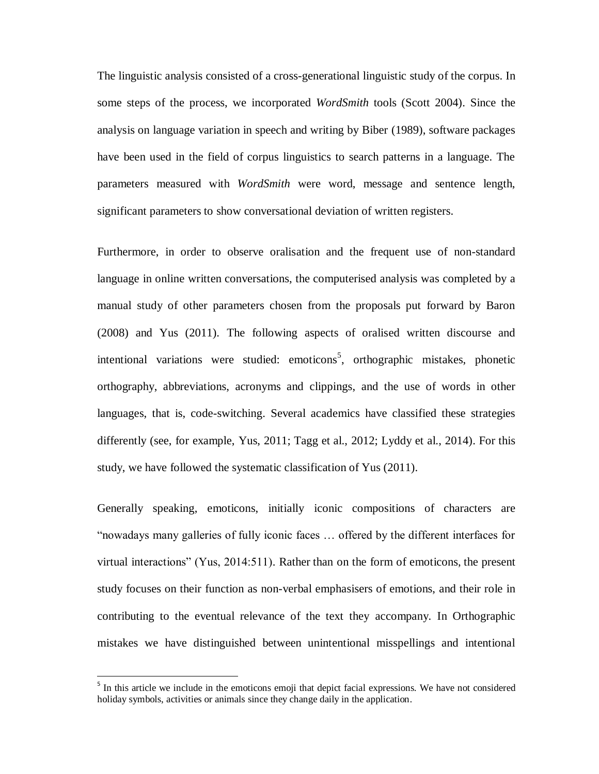The linguistic analysis consisted of a cross-generational linguistic study of the corpus. In some steps of the process, we incorporated *WordSmith* tools (Scott 2004). Since the analysis on language variation in speech and writing by Biber (1989), software packages have been used in the field of corpus linguistics to search patterns in a language. The parameters measured with *WordSmith* were word, message and sentence length, significant parameters to show conversational deviation of written registers.

Furthermore, in order to observe oralisation and the frequent use of non-standard language in online written conversations, the computerised analysis was completed by a manual study of other parameters chosen from the proposals put forward by Baron (2008) and Yus (2011). The following aspects of oralised written discourse and intentional variations were studied: emoticons<sup>5</sup>, orthographic mistakes, phonetic orthography, abbreviations, acronyms and clippings, and the use of words in other languages, that is, code-switching. Several academics have classified these strategies differently (see, for example, Yus, 2011; Tagg et al., 2012; Lyddy et al., 2014). For this study, we have followed the systematic classification of Yus (2011).

Generally speaking, emoticons, initially iconic compositions of characters are "nowadays many galleries of fully iconic faces … offered by the different interfaces for virtual interactions" (Yus, 2014:511). Rather than on the form of emoticons, the present study focuses on their function as non-verbal emphasisers of emotions, and their role in contributing to the eventual relevance of the text they accompany. In Orthographic mistakes we have distinguished between unintentional misspellings and intentional

 $\overline{a}$ 

<sup>&</sup>lt;sup>5</sup> In this article we include in the emoticons emoji that depict facial expressions. We have not considered holiday symbols, activities or animals since they change daily in the application.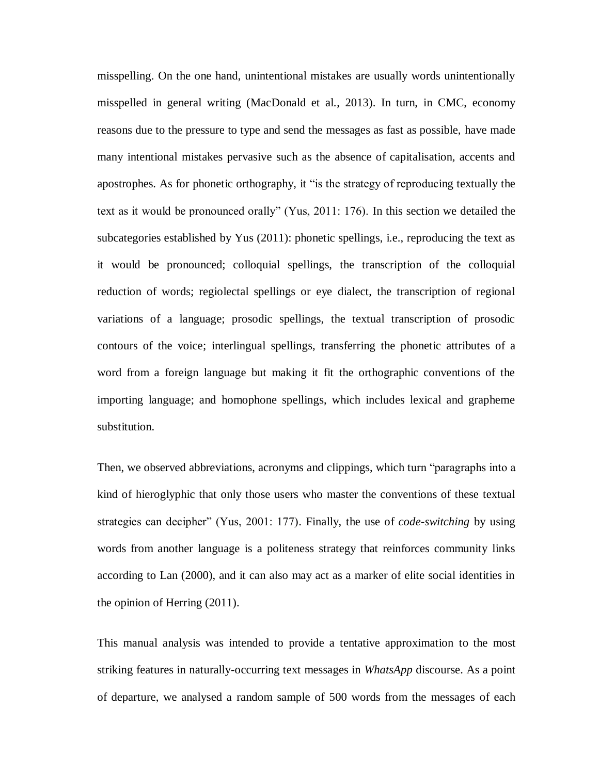misspelling. On the one hand, unintentional mistakes are usually words unintentionally misspelled in general writing (MacDonald et al., 2013). In turn, in CMC, economy reasons due to the pressure to type and send the messages as fast as possible, have made many intentional mistakes pervasive such as the absence of capitalisation, accents and apostrophes. As for phonetic orthography, it "is the strategy of reproducing textually the text as it would be pronounced orally" (Yus, 2011: 176). In this section we detailed the subcategories established by Yus (2011): phonetic spellings, i.e., reproducing the text as it would be pronounced; colloquial spellings, the transcription of the colloquial reduction of words; regiolectal spellings or eye dialect, the transcription of regional variations of a language; prosodic spellings, the textual transcription of prosodic contours of the voice; interlingual spellings, transferring the phonetic attributes of a word from a foreign language but making it fit the orthographic conventions of the importing language; and homophone spellings, which includes lexical and grapheme substitution.

Then, we observed abbreviations, acronyms and clippings, which turn "paragraphs into a kind of hieroglyphic that only those users who master the conventions of these textual strategies can decipher" (Yus, 2001: 177). Finally, the use of *code-switching* by using words from another language is a politeness strategy that reinforces community links according to Lan (2000), and it can also may act as a marker of elite social identities in the opinion of Herring (2011).

This manual analysis was intended to provide a tentative approximation to the most striking features in naturally-occurring text messages in *WhatsApp* discourse. As a point of departure, we analysed a random sample of 500 words from the messages of each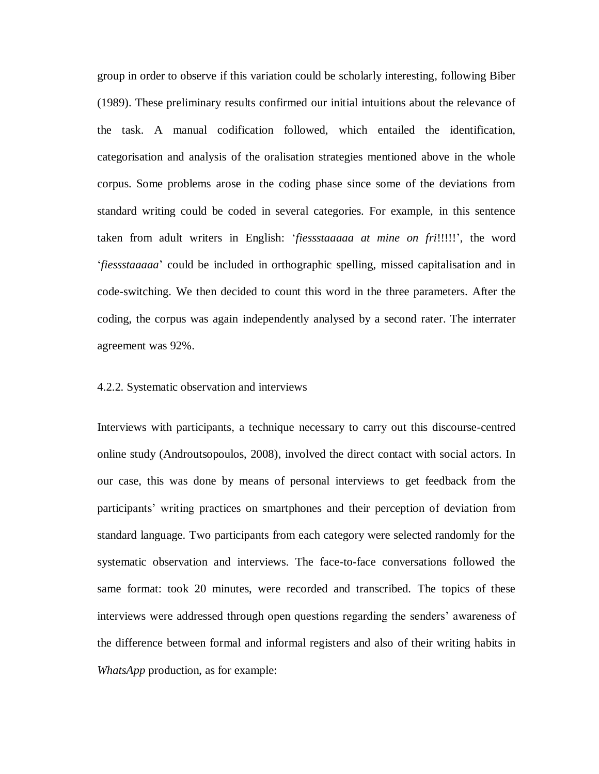group in order to observe if this variation could be scholarly interesting, following Biber (1989). These preliminary results confirmed our initial intuitions about the relevance of the task. A manual codification followed, which entailed the identification, categorisation and analysis of the oralisation strategies mentioned above in the whole corpus. Some problems arose in the coding phase since some of the deviations from standard writing could be coded in several categories. For example, in this sentence taken from adult writers in English: '*fiessstaaaaa at mine on fri*!!!!!', the word '*fiessstaaaaa*' could be included in orthographic spelling, missed capitalisation and in code-switching. We then decided to count this word in the three parameters. After the coding, the corpus was again independently analysed by a second rater. The interrater agreement was 92%.

#### 4.2.2. Systematic observation and interviews

Interviews with participants*,* a technique necessary to carry out this discourse-centred online study (Androutsopoulos, 2008), involved the direct contact with social actors. In our case, this was done by means of personal interviews to get feedback from the participants' writing practices on smartphones and their perception of deviation from standard language. Two participants from each category were selected randomly for the systematic observation and interviews. The face-to-face conversations followed the same format: took 20 minutes, were recorded and transcribed. The topics of these interviews were addressed through open questions regarding the senders' awareness of the difference between formal and informal registers and also of their writing habits in *WhatsApp* production, as for example: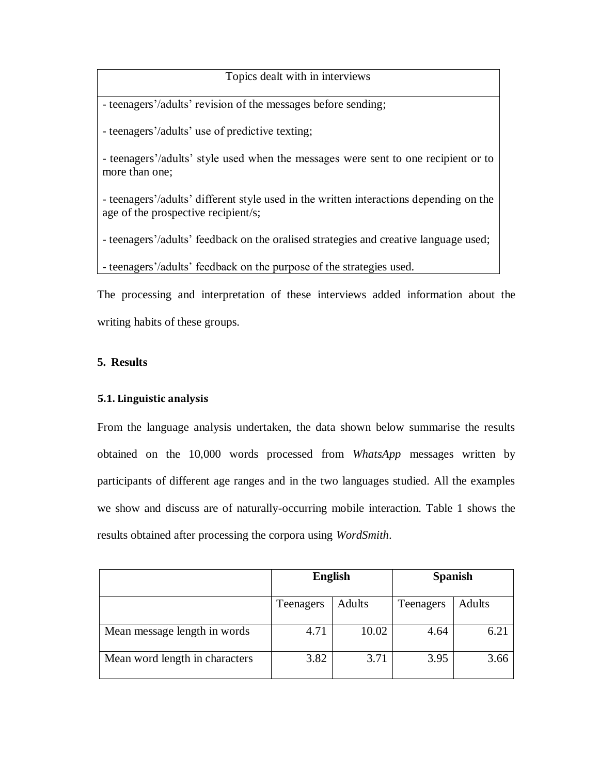Topics dealt with in interviews

- teenagers'/adults' revision of the messages before sending;

- teenagers'/adults' use of predictive texting;

- teenagers'/adults' style used when the messages were sent to one recipient or to more than one;

- teenagers'/adults' different style used in the written interactions depending on the age of the prospective recipient/s;

- teenagers'/adults' feedback on the oralised strategies and creative language used;

- teenagers'/adults' feedback on the purpose of the strategies used.

The processing and interpretation of these interviews added information about the writing habits of these groups.

# **5. Results**

# **5.1. Linguistic analysis**

From the language analysis undertaken, the data shown below summarise the results obtained on the 10,000 words processed from *WhatsApp* messages written by participants of different age ranges and in the two languages studied. All the examples we show and discuss are of naturally-occurring mobile interaction. Table 1 shows the results obtained after processing the corpora using *WordSmith*.

|                                | <b>English</b> |        | <b>Spanish</b> |               |
|--------------------------------|----------------|--------|----------------|---------------|
|                                | Teenagers      | Adults | Teenagers      | <b>Adults</b> |
| Mean message length in words   | 4.71           | 10.02  | 4.64           | 6.21          |
| Mean word length in characters | 3.82           | 3.71   | 3.95           | 3.66          |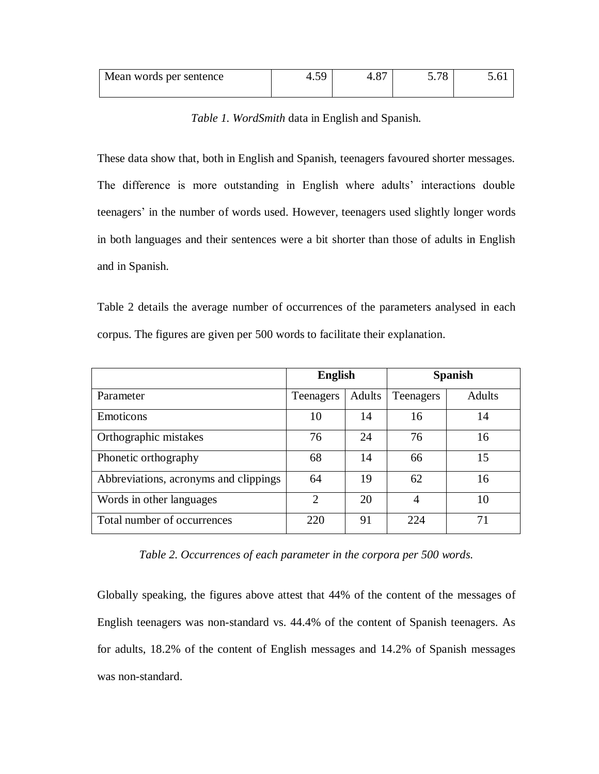| Mean words per sentence | τ.∠ | t.o | $5.78^{-1}$ | 6 |
|-------------------------|-----|-----|-------------|---|
|                         |     |     |             |   |

*Table 1. WordSmith* data in English and Spanish.

These data show that, both in English and Spanish, teenagers favoured shorter messages. The difference is more outstanding in English where adults' interactions double teenagers' in the number of words used. However, teenagers used slightly longer words in both languages and their sentences were a bit shorter than those of adults in English and in Spanish.

Table 2 details the average number of occurrences of the parameters analysed in each corpus. The figures are given per 500 words to facilitate their explanation.

|                                       | <b>English</b> |        | <b>Spanish</b> |               |
|---------------------------------------|----------------|--------|----------------|---------------|
| Parameter                             | Teenagers      | Adults | Teenagers      | <b>Adults</b> |
| Emoticons                             | 10             | 14     | 16             | 14            |
| Orthographic mistakes                 | 76             | 24     | 76             | 16            |
| Phonetic orthography                  | 68             | 14     | 66             | 15            |
| Abbreviations, acronyms and clippings | 64             | 19     | 62             | 16            |
| Words in other languages              | $\overline{2}$ | 20     | 4              | 10            |
| Total number of occurrences           | 220            | 91     | 224            | 71            |

*Table 2. Occurrences of each parameter in the corpora per 500 words.*

Globally speaking, the figures above attest that 44% of the content of the messages of English teenagers was non-standard vs. 44.4% of the content of Spanish teenagers. As for adults, 18.2% of the content of English messages and 14.2% of Spanish messages was non-standard.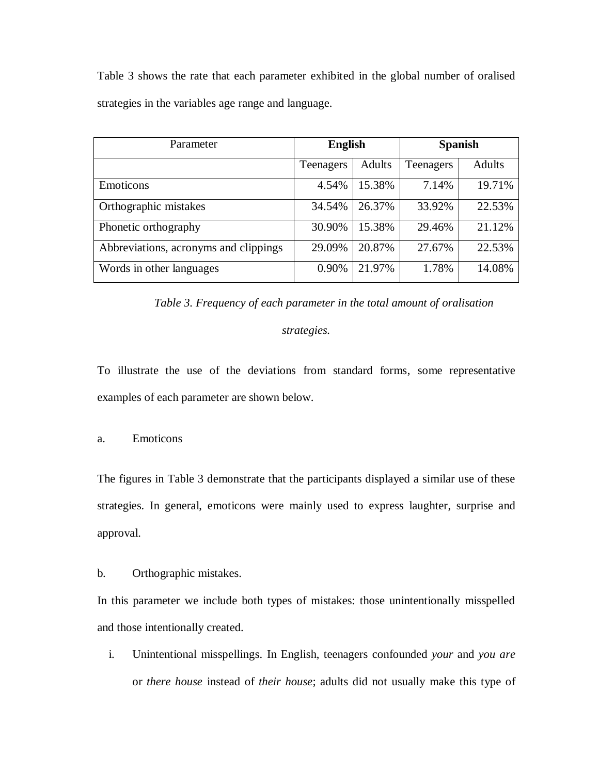Table 3 shows the rate that each parameter exhibited in the global number of oralised strategies in the variables age range and language.

| Parameter                             | <b>English</b> |        | <b>Spanish</b> |               |
|---------------------------------------|----------------|--------|----------------|---------------|
|                                       | Teenagers      | Adults | Teenagers      | <b>Adults</b> |
| Emoticons                             | 4.54%          | 15.38% | 7.14%          | 19.71%        |
| Orthographic mistakes                 | 34.54%         | 26.37% | 33.92%         | 22.53%        |
| Phonetic orthography                  | 30.90%         | 15.38% | 29.46%         | 21.12%        |
| Abbreviations, acronyms and clippings | 29.09%         | 20.87% | 27.67%         | 22.53%        |
| Words in other languages              | 0.90%          | 21.97% | 1.78%          | 14.08%        |

*Table 3. Frequency of each parameter in the total amount of oralisation* 

# *strategies.*

To illustrate the use of the deviations from standard forms, some representative examples of each parameter are shown below.

a. Emoticons

The figures in Table 3 demonstrate that the participants displayed a similar use of these strategies. In general, emoticons were mainly used to express laughter, surprise and approval.

b. Orthographic mistakes.

In this parameter we include both types of mistakes: those unintentionally misspelled and those intentionally created.

i. Unintentional misspellings. In English, teenagers confounded *your* and *you are* or *there house* instead of *their house*; adults did not usually make this type of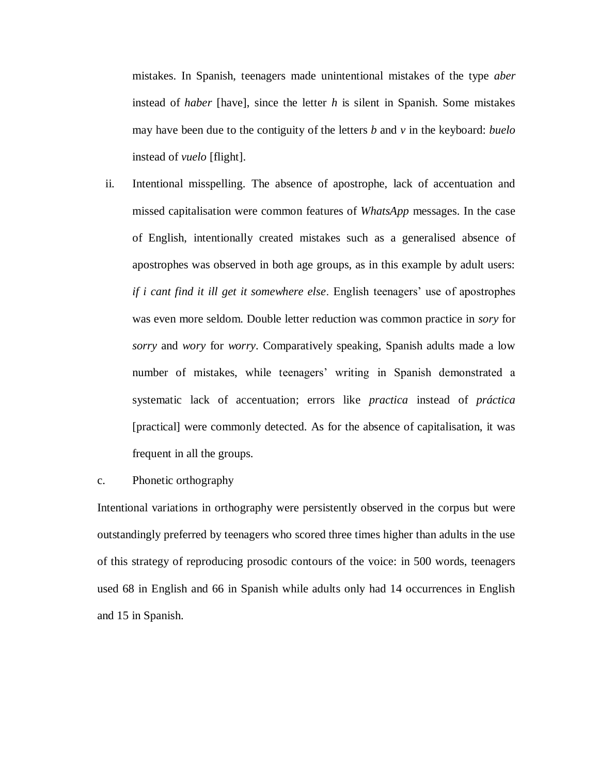mistakes. In Spanish, teenagers made unintentional mistakes of the type *aber* instead of *haber* [have], since the letter *h* is silent in Spanish. Some mistakes may have been due to the contiguity of the letters *b* and *v* in the keyboard: *buelo* instead of *vuelo* [flight].

ii. Intentional misspelling. The absence of apostrophe, lack of accentuation and missed capitalisation were common features of *WhatsApp* messages. In the case of English, intentionally created mistakes such as a generalised absence of apostrophes was observed in both age groups, as in this example by adult users: *if i cant find it ill get it somewhere else*. English teenagers' use of apostrophes was even more seldom. Double letter reduction was common practice in *sory* for *sorry* and *wory* for *worry*. Comparatively speaking, Spanish adults made a low number of mistakes, while teenagers' writing in Spanish demonstrated a systematic lack of accentuation; errors like *practica* instead of *práctica*  [practical] were commonly detected. As for the absence of capitalisation, it was frequent in all the groups.

## c. Phonetic orthography

Intentional variations in orthography were persistently observed in the corpus but were outstandingly preferred by teenagers who scored three times higher than adults in the use of this strategy of reproducing prosodic contours of the voice: in 500 words, teenagers used 68 in English and 66 in Spanish while adults only had 14 occurrences in English and 15 in Spanish.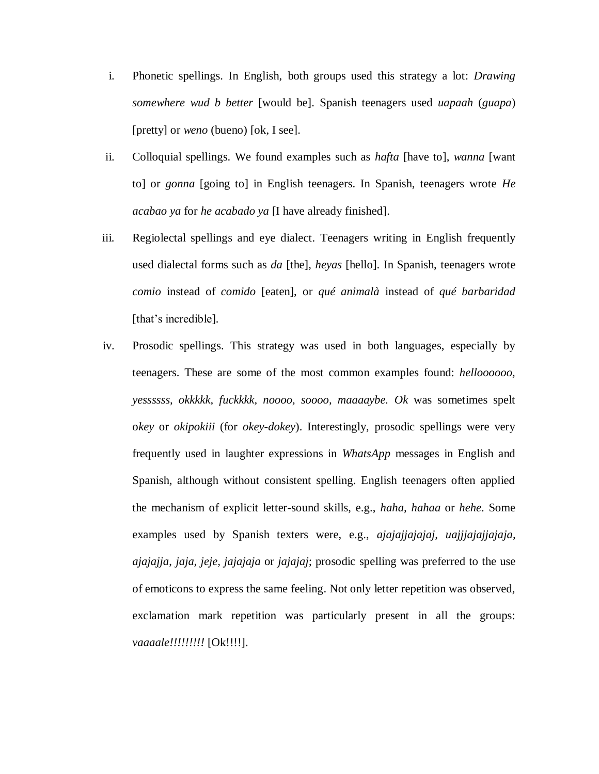- i. Phonetic spellings. In English, both groups used this strategy a lot: *Drawing somewhere wud b better* [would be]. Spanish teenagers used *uapaah* (*guapa*) [pretty] or *weno* (bueno) [ok, I see].
- ii. Colloquial spellings. We found examples such as *hafta* [have to], *wanna* [want to] or *gonna* [going to] in English teenagers. In Spanish, teenagers wrote *He acabao ya* for *he acabado ya* [I have already finished].
- iii. Regiolectal spellings and eye dialect. Teenagers writing in English frequently used dialectal forms such as *da* [the], *heyas* [hello]. In Spanish, teenagers wrote *comio* instead of *comido* [eaten], or *qué animalà* instead of *qué barbaridad* [that's incredible]*.*
- iv. Prosodic spellings. This strategy was used in both languages, especially by teenagers. These are some of the most common examples found: *helloooooo, yessssss, okkkkk, fuckkkk, noooo, soooo, maaaaybe. Ok* was sometimes spelt o*key* or *okipokiii* (for *okey-dokey*). Interestingly, prosodic spellings were very frequently used in laughter expressions in *WhatsApp* messages in English and Spanish, although without consistent spelling. English teenagers often applied the mechanism of explicit letter-sound skills, e.g., *haha, hahaa* or *hehe*. Some examples used by Spanish texters were, e.g., *ajajajjajajaj, uajjjajajjajaja, ajajajja*, *jaja, jeje, jajajaja* or *jajajaj*; prosodic spelling was preferred to the use of emoticons to express the same feeling. Not only letter repetition was observed, exclamation mark repetition was particularly present in all the groups: *vaaaale!!!!!!!!!* [Ok!!!!].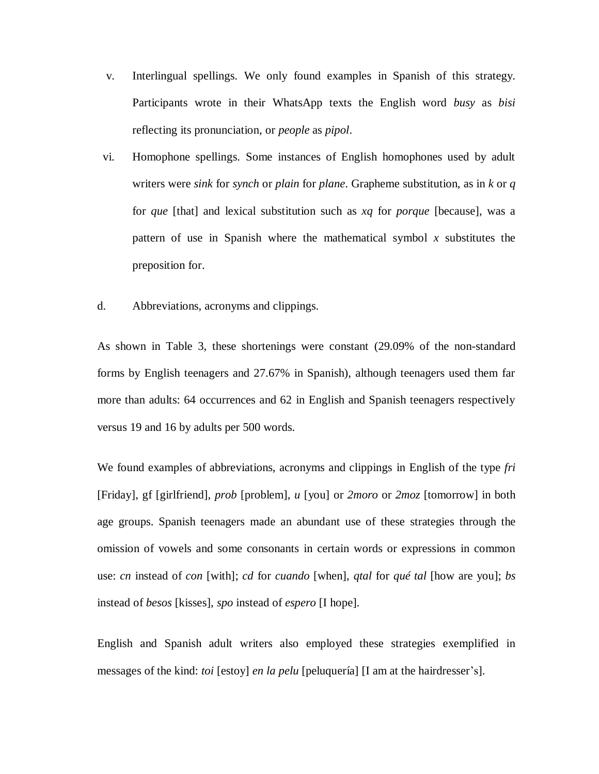- v. Interlingual spellings. We only found examples in Spanish of this strategy. Participants wrote in their WhatsApp texts the English word *busy* as *bisi* reflecting its pronunciation, or *people* as *pipol*.
- vi. Homophone spellings. Some instances of English homophones used by adult writers were *sink* for *synch* or *plain* for *plane*. Grapheme substitution, as in *k* or *q*  for *que* [that] and lexical substitution such as *xq* for *porque* [because], was a pattern of use in Spanish where the mathematical symbol *x* substitutes the preposition for.
- d. Abbreviations, acronyms and clippings.

As shown in Table 3, these shortenings were constant (29.09% of the non-standard forms by English teenagers and 27.67% in Spanish), although teenagers used them far more than adults: 64 occurrences and 62 in English and Spanish teenagers respectively versus 19 and 16 by adults per 500 words.

We found examples of abbreviations, acronyms and clippings in English of the type *fri*  [Friday], gf [girlfriend], *prob* [problem], *u* [you] or *2moro* or *2moz* [tomorrow] in both age groups. Spanish teenagers made an abundant use of these strategies through the omission of vowels and some consonants in certain words or expressions in common use: *cn* instead of *con* [with]; *cd* for *cuando* [when], *qtal* for *qué tal* [how are you]; *bs* instead of *besos* [kisses], *spo* instead of *espero* [I hope].

English and Spanish adult writers also employed these strategies exemplified in messages of the kind: *toi* [estoy] *en la pelu* [peluquería] [I am at the hairdresser's].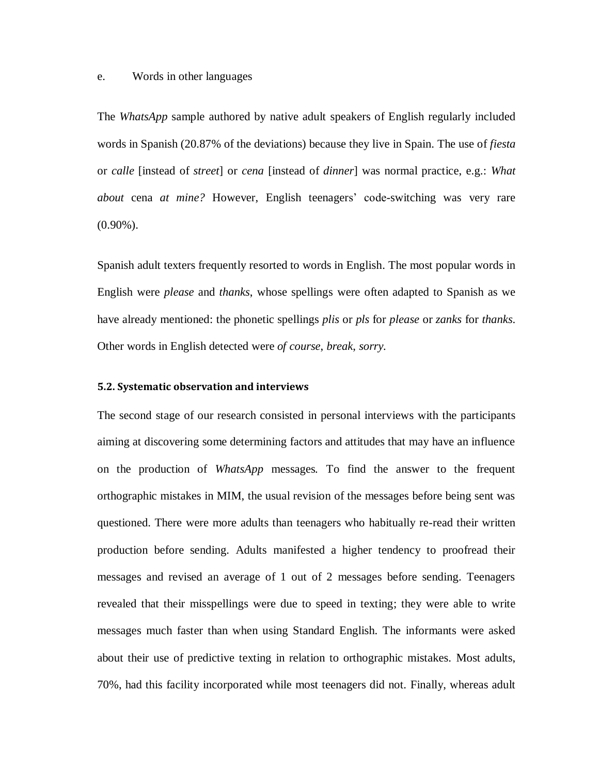#### e. Words in other languages

The *WhatsApp* sample authored by native adult speakers of English regularly included words in Spanish (20.87% of the deviations) because they live in Spain. The use of *fiesta* or *calle* [instead of *street*] or *cena* [instead of *dinner*] was normal practice, e.g.: *What about* cena *at mine?* However, English teenagers' code-switching was very rare (0.90%).

Spanish adult texters frequently resorted to words in English. The most popular words in English were *please* and *thanks*, whose spellings were often adapted to Spanish as we have already mentioned: the phonetic spellings *plis* or *pls* for *please* or *zanks* for *thanks*. Other words in English detected were *of course*, *break*, *sorry.*

## **5.2. Systematic observation and interviews**

The second stage of our research consisted in personal interviews with the participants aiming at discovering some determining factors and attitudes that may have an influence on the production of *WhatsApp* messages*.* To find the answer to the frequent orthographic mistakes in MIM, the usual revision of the messages before being sent was questioned. There were more adults than teenagers who habitually re-read their written production before sending. Adults manifested a higher tendency to proofread their messages and revised an average of 1 out of 2 messages before sending. Teenagers revealed that their misspellings were due to speed in texting; they were able to write messages much faster than when using Standard English. The informants were asked about their use of predictive texting in relation to orthographic mistakes. Most adults, 70%, had this facility incorporated while most teenagers did not. Finally, whereas adult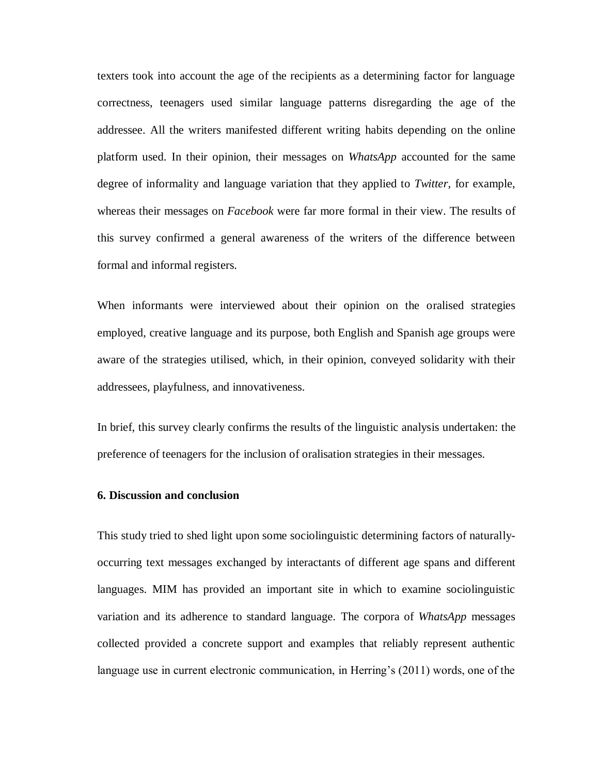texters took into account the age of the recipients as a determining factor for language correctness, teenagers used similar language patterns disregarding the age of the addressee. All the writers manifested different writing habits depending on the online platform used. In their opinion, their messages on *WhatsApp* accounted for the same degree of informality and language variation that they applied to *Twitter*, for example, whereas their messages on *Facebook* were far more formal in their view. The results of this survey confirmed a general awareness of the writers of the difference between formal and informal registers.

When informants were interviewed about their opinion on the oralised strategies employed, creative language and its purpose, both English and Spanish age groups were aware of the strategies utilised, which, in their opinion, conveyed solidarity with their addressees, playfulness, and innovativeness.

In brief, this survey clearly confirms the results of the linguistic analysis undertaken: the preference of teenagers for the inclusion of oralisation strategies in their messages.

#### **6. Discussion and conclusion**

This study tried to shed light upon some sociolinguistic determining factors of naturallyoccurring text messages exchanged by interactants of different age spans and different languages. MIM has provided an important site in which to examine sociolinguistic variation and its adherence to standard language. The corpora of *WhatsApp* messages collected provided a concrete support and examples that reliably represent authentic language use in current electronic communication, in Herring's (2011) words, one of the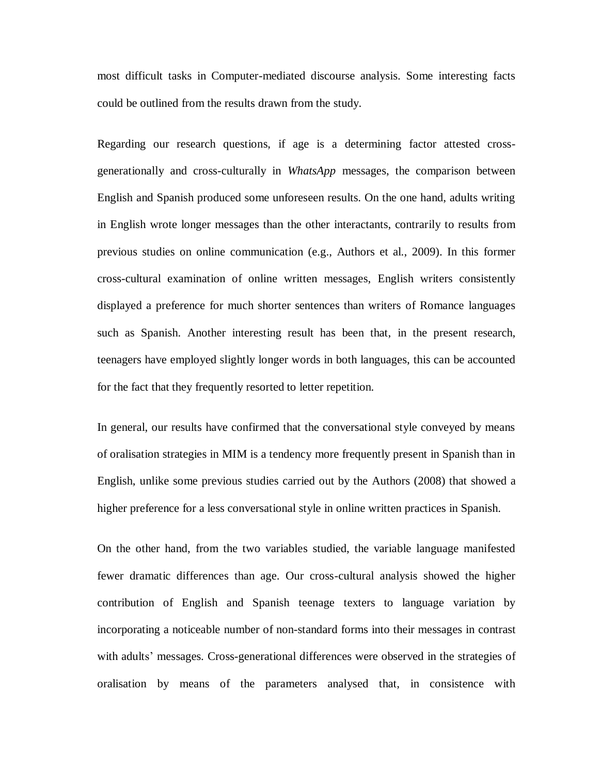most difficult tasks in Computer-mediated discourse analysis. Some interesting facts could be outlined from the results drawn from the study.

Regarding our research questions, if age is a determining factor attested crossgenerationally and cross-culturally in *WhatsApp* messages, the comparison between English and Spanish produced some unforeseen results. On the one hand, adults writing in English wrote longer messages than the other interactants, contrarily to results from previous studies on online communication (e.g., Authors et al., 2009). In this former cross-cultural examination of online written messages, English writers consistently displayed a preference for much shorter sentences than writers of Romance languages such as Spanish. Another interesting result has been that, in the present research, teenagers have employed slightly longer words in both languages, this can be accounted for the fact that they frequently resorted to letter repetition.

In general, our results have confirmed that the conversational style conveyed by means of oralisation strategies in MIM is a tendency more frequently present in Spanish than in English, unlike some previous studies carried out by the Authors (2008) that showed a higher preference for a less conversational style in online written practices in Spanish.

On the other hand, from the two variables studied, the variable language manifested fewer dramatic differences than age. Our cross-cultural analysis showed the higher contribution of English and Spanish teenage texters to language variation by incorporating a noticeable number of non-standard forms into their messages in contrast with adults' messages. Cross-generational differences were observed in the strategies of oralisation by means of the parameters analysed that, in consistence with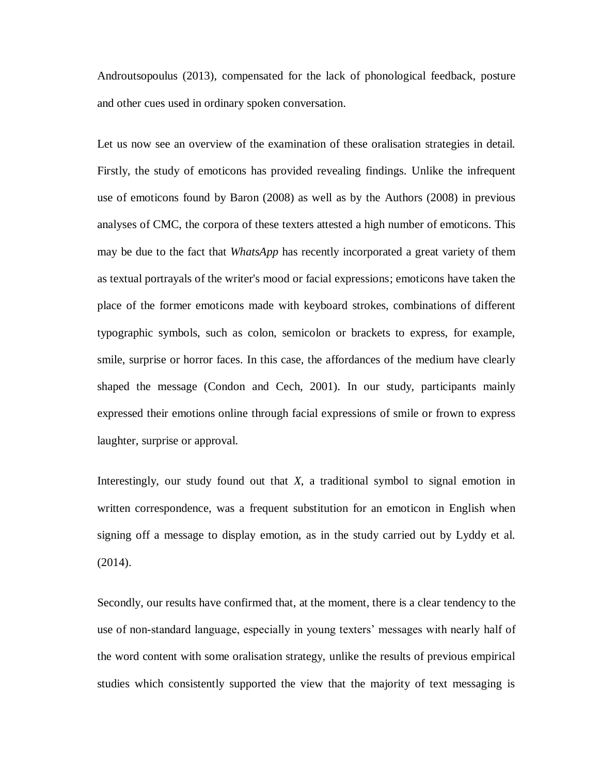Androutsopoulus (2013), compensated for the lack of phonological feedback, posture and other cues used in ordinary spoken conversation.

Let us now see an overview of the examination of these oralisation strategies in detail. Firstly, the study of emoticons has provided revealing findings. Unlike the infrequent use of emoticons found by Baron (2008) as well as by the Authors (2008) in previous analyses of CMC, the corpora of these texters attested a high number of emoticons. This may be due to the fact that *WhatsApp* has recently incorporated a great variety of them as textual portrayals of the writer's mood or facial expressions; emoticons have taken the place of the former emoticons made with keyboard strokes, combinations of different typographic symbols, such as colon, semicolon or brackets to express, for example, smile, surprise or horror faces. In this case, the affordances of the medium have clearly shaped the message (Condon and Cech, 2001). In our study, participants mainly expressed their emotions online through facial expressions of smile or frown to express laughter, surprise or approval.

Interestingly, our study found out that *X*, a traditional symbol to signal emotion in written correspondence, was a frequent substitution for an emoticon in English when signing off a message to display emotion, as in the study carried out by Lyddy et al. (2014).

Secondly, our results have confirmed that, at the moment, there is a clear tendency to the use of non-standard language, especially in young texters' messages with nearly half of the word content with some oralisation strategy, unlike the results of previous empirical studies which consistently supported the view that the majority of text messaging is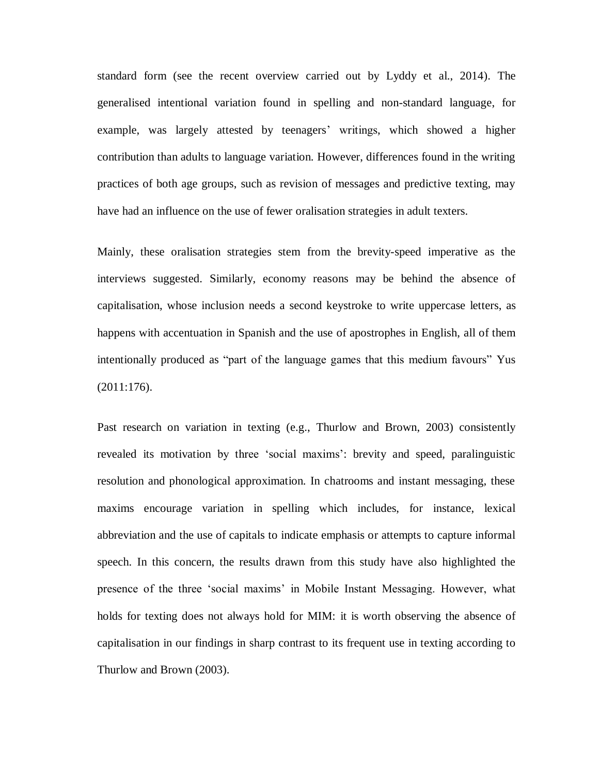standard form (see the recent overview carried out by Lyddy et al., 2014). The generalised intentional variation found in spelling and non-standard language, for example, was largely attested by teenagers' writings, which showed a higher contribution than adults to language variation. However, differences found in the writing practices of both age groups, such as revision of messages and predictive texting, may have had an influence on the use of fewer oralisation strategies in adult texters.

Mainly, these oralisation strategies stem from the brevity-speed imperative as the interviews suggested. Similarly, economy reasons may be behind the absence of capitalisation, whose inclusion needs a second keystroke to write uppercase letters, as happens with accentuation in Spanish and the use of apostrophes in English, all of them intentionally produced as "part of the language games that this medium favours" Yus (2011:176).

Past research on variation in texting (e.g., Thurlow and Brown, 2003) consistently revealed its motivation by three 'social maxims': brevity and speed, paralinguistic resolution and phonological approximation. In chatrooms and instant messaging, these maxims encourage variation in spelling which includes, for instance, lexical abbreviation and the use of capitals to indicate emphasis or attempts to capture informal speech. In this concern, the results drawn from this study have also highlighted the presence of the three 'social maxims' in Mobile Instant Messaging. However, what holds for texting does not always hold for MIM: it is worth observing the absence of capitalisation in our findings in sharp contrast to its frequent use in texting according to Thurlow and Brown (2003).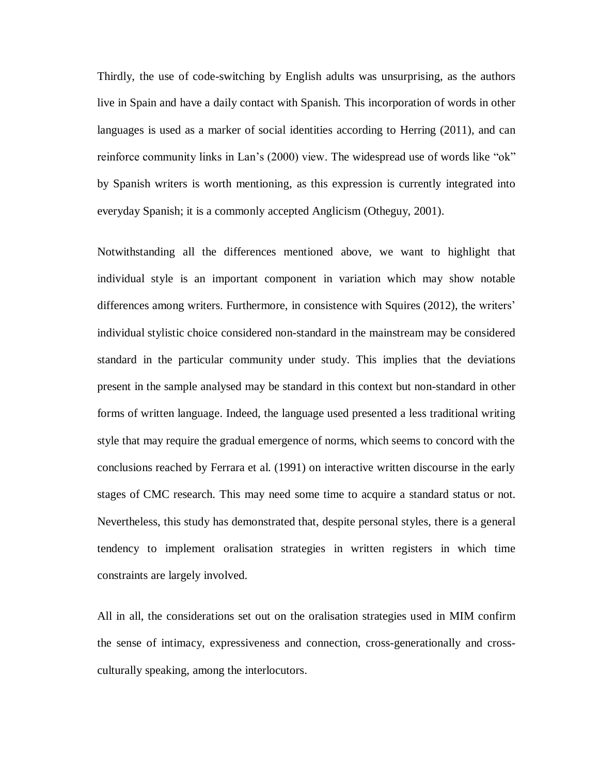Thirdly, the use of code-switching by English adults was unsurprising, as the authors live in Spain and have a daily contact with Spanish. This incorporation of words in other languages is used as a marker of social identities according to Herring (2011), and can reinforce community links in Lan's (2000) view. The widespread use of words like "ok" by Spanish writers is worth mentioning, as this expression is currently integrated into everyday Spanish; it is a commonly accepted Anglicism (Otheguy, 2001).

Notwithstanding all the differences mentioned above, we want to highlight that individual style is an important component in variation which may show notable differences among writers. Furthermore, in consistence with Squires (2012), the writers' individual stylistic choice considered non-standard in the mainstream may be considered standard in the particular community under study. This implies that the deviations present in the sample analysed may be standard in this context but non-standard in other forms of written language. Indeed, the language used presented a less traditional writing style that may require the gradual emergence of norms, which seems to concord with the conclusions reached by Ferrara et al. (1991) on interactive written discourse in the early stages of CMC research. This may need some time to acquire a standard status or not. Nevertheless, this study has demonstrated that, despite personal styles, there is a general tendency to implement oralisation strategies in written registers in which time constraints are largely involved.

All in all, the considerations set out on the oralisation strategies used in MIM confirm the sense of intimacy*,* expressiveness and connection, cross-generationally and crossculturally speaking, among the interlocutors.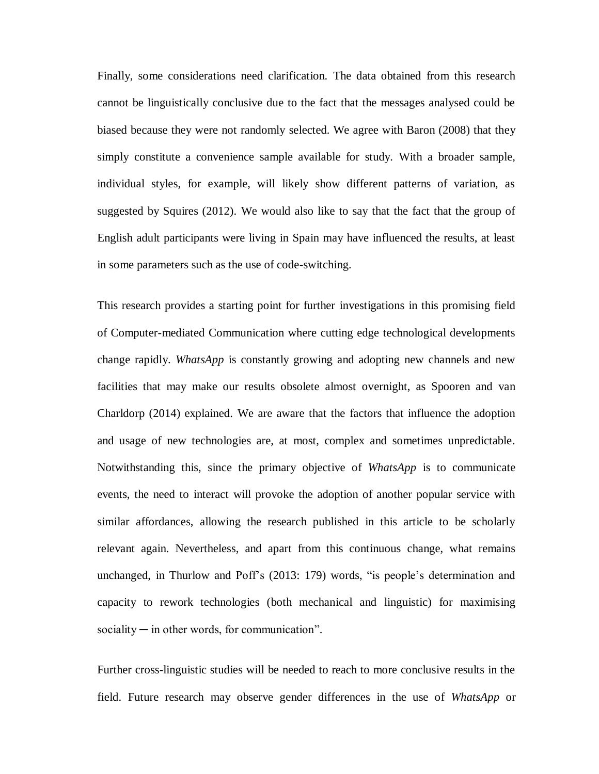Finally, some considerations need clarification. The data obtained from this research cannot be linguistically conclusive due to the fact that the messages analysed could be biased because they were not randomly selected. We agree with Baron (2008) that they simply constitute a convenience sample available for study. With a broader sample, individual styles, for example, will likely show different patterns of variation, as suggested by Squires (2012). We would also like to say that the fact that the group of English adult participants were living in Spain may have influenced the results, at least in some parameters such as the use of code-switching.

This research provides a starting point for further investigations in this promising field of Computer-mediated Communication where cutting edge technological developments change rapidly. *WhatsApp* is constantly growing and adopting new channels and new facilities that may make our results obsolete almost overnight, as Spooren and van Charldorp (2014) explained. We are aware that the factors that influence the adoption and usage of new technologies are, at most, complex and sometimes unpredictable. Notwithstanding this, since the primary objective of *WhatsApp* is to communicate events, the need to interact will provoke the adoption of another popular service with similar affordances, allowing the research published in this article to be scholarly relevant again. Nevertheless, and apart from this continuous change, what remains unchanged, in Thurlow and Poff's (2013: 179) words, "is people's determination and capacity to rework technologies (both mechanical and linguistic) for maximising  $sociality$  — in other words, for communication".

Further cross-linguistic studies will be needed to reach to more conclusive results in the field. Future research may observe gender differences in the use of *WhatsApp* or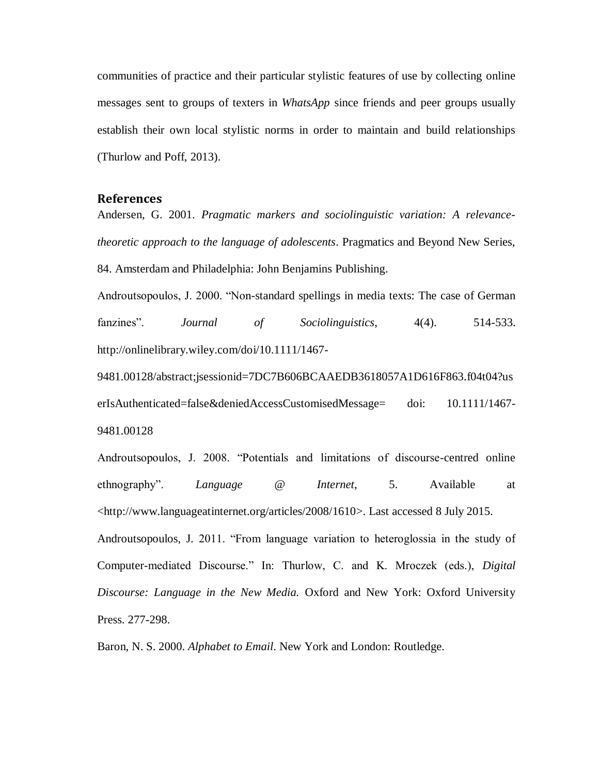communities of practice and their particular stylistic features of use by collecting online messages sent to groups of texters in *WhatsApp* since friends and peer groups usually establish their own local stylistic norms in order to maintain and build relationships (Thurlow and Poff, 2013).

# **References**

Andersen, G. 2001. *Pragmatic markers and sociolinguistic variation: A relevancetheoretic approach to the language of adolescents*. Pragmatics and Beyond New Series, 84. Amsterdam and Philadelphia: John Benjamins Publishing.

Androutsopoulos, J. 2000. "Non-standard spellings in media texts: The case of German fanzines". *Journal of Sociolinguistics*, 4(4). 514-533. http://onlinelibrary.wiley.com/doi/10.1111/1467-

9481.00128/abstract;jsessionid=7DC7B606BCAAEDB3618057A1D616F863.f04t04?us erIsAuthenticated=false&deniedAccessCustomisedMessage= doi: 10.1111/1467- 9481.00128

Androutsopoulos, J. 2008. "Potentials and limitations of discourse-centred online ethnography". *Language @ Internet*, 5. Available at <http://www.languageatinternet.org/articles/2008/1610>. Last accessed 8 July 2015. Androutsopoulos, J. 2011. "From language variation to heteroglossia in the study of Computer-mediated Discourse." In: Thurlow, C. and K. Mroczek (eds.), *Digital Discourse: Language in the New Media.* Oxford and New York: Oxford University Press. 277-298.

Baron, N. S. 2000. *Alphabet to Email*. New York and London: Routledge.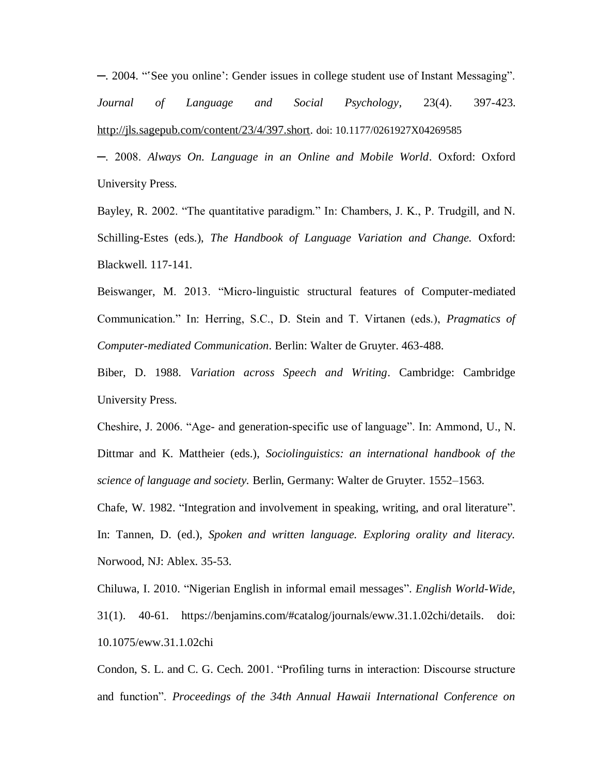─. 2004. "ʽSee you online': Gender issues in college student use of Instant Messaging". *Journal of Language and Social Psychology,* 23(4). 397-423. [http://jls.sagepub.com/content/23/4/397.short.](http://jls.sagepub.com/content/23/4/397.short) doi: 10.1177/0261927X04269585

─. 2008. *Always On. Language in an Online and Mobile World*. Oxford: Oxford University Press.

Bayley, R. 2002. "The quantitative paradigm." In: Chambers, J. K., P. Trudgill, and N. Schilling-Estes (eds.), *The Handbook of Language Variation and Change.* Oxford: Blackwell. 117-141*.*

Beiswanger, M. 2013. "Micro-linguistic structural features of Computer-mediated Communication." In: Herring, S.C., D. Stein and T. Virtanen (eds.), *Pragmatics of Computer-mediated Communication*. Berlin: Walter de Gruyter. 463-488.

Biber, D. 1988. *Variation across Speech and Writing*. Cambridge: Cambridge University Press.

Cheshire, J. 2006. "Age- and generation-specific use of language". In: Ammond, U., N. Dittmar and K. Mattheier (eds.), *Sociolinguistics: an international handbook of the science of language and society.* Berlin, Germany: Walter de Gruyter. 1552–1563.

Chafe, W. 1982. "Integration and involvement in speaking, writing, and oral literature". In: Tannen, D. (ed.), *Spoken and written language. Exploring orality and literacy.*  Norwood, NJ: Ablex. 35-53.

Chiluwa, I. 2010. "Nigerian English in informal email messages". *English World-Wide*, 31(1). 40-61. [https://benjamins.com/#catalog/journals/eww.31.1.02chi/details.](https://benjamins.com/#catalog/journals/eww.31.1.02chi/details) doi: [10.1075/eww.31.1.02chi](http://dx.doi.org/10.1075/eww.31.1.02chi)

Condon, S. L. and C. G. Cech. 2001. "Profiling turns in interaction: Discourse structure and function". *Proceedings of the 34th Annual Hawaii International Conference on*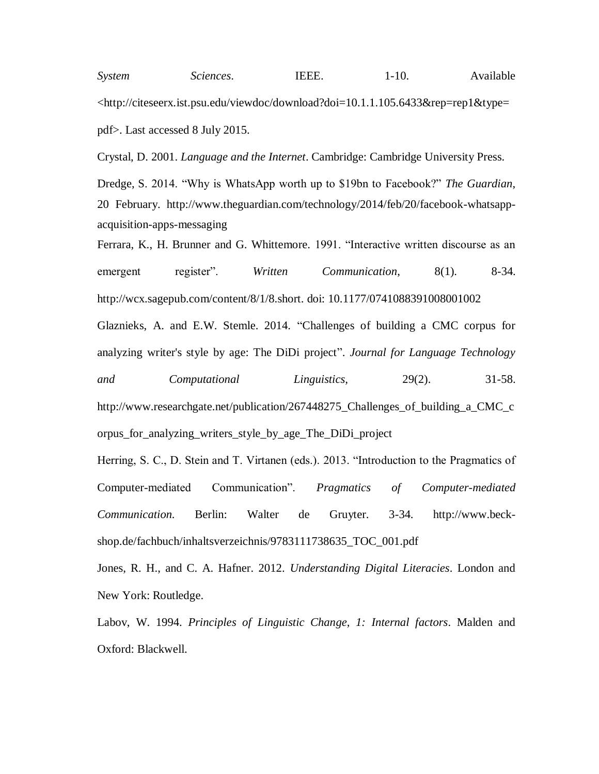*System Sciences*. IEEE. 1-10. Available  $\langle$ http://citeseerx.ist.psu.edu/viewdoc/download?doi=10.1.1.105.6433&rep=rep1&type= [pdf>](http://citeseerx.ist.psu.edu/viewdoc/download?doi=10.1.1.105.6433&rep=rep1&type=pdf). Last accessed 8 July 2015.

Crystal, D. 2001. *Language and the Internet*. Cambridge: Cambridge University Press.

Dredge, S. 2014. "Why is WhatsApp worth up to \$19bn to Facebook?" *The Guardian*, 20 February. http://www.theguardian.com/technology/2014/feb/20/facebook-whatsappacquisition-apps-messaging

Ferrara, K., H. Brunner and G. Whittemore. 1991. "Interactive written discourse as an emergent register". *Written Communication*, 8(1). 8-34. [http://wcx.sagepub.com/content/8/1/8.short.](http://wcx.sagepub.com/content/8/1/8.short) doi: 10.1177/0741088391008001002

Glaznieks, A. and E.W. Stemle. 2014. "Challenges of building a CMC corpus for analyzing writer's style by age: The DiDi project". *Journal for Language Technology and Computational Linguistics,* 29(2). 31-58. http://www.researchgate.net/publication/267448275\_Challenges\_of\_building\_a\_CMC\_c orpus\_for\_analyzing\_writers\_style\_by\_age\_The\_DiDi\_project

Herring, S. C., D. Stein and T. Virtanen (eds.). 2013. "Introduction to the Pragmatics of Computer-mediated Communication". *Pragmatics of Computer-mediated Communication.* Berlin: Walter de Gruyter. 3-34. http://www.beckshop.de/fachbuch/inhaltsverzeichnis/9783111738635\_TOC\_001.pdf

Jones, R. H., and C. A. Hafner. 2012. *Understanding Digital Literacies*. London and New York: Routledge.

Labov, W. 1994. *Principles of Linguistic Change, 1: Internal factors*. Malden and Oxford: Blackwell.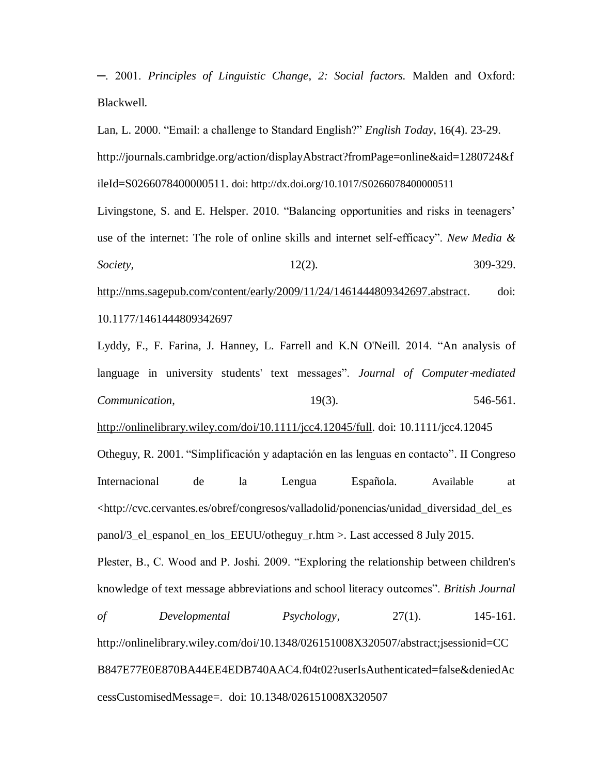─. 2001. *Principles of Linguistic Change*, *2: Social factors.* Malden and Oxford: Blackwell.

Lan, L. 2000. "Email: a challenge to Standard English?" *English Today*, 16(4). 23-29. [http://journals.cambridge.org/action/displayAbstract?fromPage=online&aid=1280724&f](http://journals.cambridge.org/action/displayAbstract?fromPage=online&aid=1280724&fileId=S0266078400000511) [ileId=S0266078400000511.](http://journals.cambridge.org/action/displayAbstract?fromPage=online&aid=1280724&fileId=S0266078400000511) doi: <http://dx.doi.org/10.1017/S0266078400000511>

Livingstone, S. and E. Helsper. 2010. "Balancing opportunities and risks in teenagers' use of the internet: The role of online skills and internet self-efficacy". *New Media & Society,* 12(2). 309-329.

[http://nms.sagepub.com/content/early/2009/11/24/1461444809342697.abstract.](http://nms.sagepub.com/content/early/2009/11/24/1461444809342697.abstract) doi: 10.1177/1461444809342697

Lyddy, F., F. Farina, J. Hanney, L. Farrell and K.N O'Neill. 2014. "An analysis of language in university students' text messages". *Journal of Computer-mediated Communication*, 19(3). 546-561. [http://onlinelibrary.wiley.com/doi/10.1111/jcc4.12045/full.](http://onlinelibrary.wiley.com/doi/10.1111/jcc4.12045/full) doi: 10.1111/jcc4.12045 Otheguy, R. 2001. "Simplificación y adaptación en las lenguas en contacto". II Congreso Internacional de la Lengua Española. Available at <http://cvc.cervantes.es/obref/congresos/valladolid/ponencias/unidad\_diversidad\_del\_es panol/3\_el\_espanol\_en\_los\_EEUU/otheguy\_r.htm >. Last accessed 8 July 2015. Plester, B., C. Wood and P. Joshi. 2009. "Exploring the relationship between children's knowledge of text message abbreviations and school literacy outcomes". *British Journal of Developmental Psychology,* 27(1). 145-161. [http://onlinelibrary.wiley.com/doi/10.1348/026151008X320507/abstract;jsessionid=CC](http://onlinelibrary.wiley.com/doi/10.1348/026151008X320507/abstract;jsessionid=CCB847E77E0E870BA44EE4EDB740AAC4.f04t02?userIsAuthenticated=false&deniedAccessCustomisedMessage) [B847E77E0E870BA44EE4EDB740AAC4.f04t02?userIsAuthenticated=false&deniedAc](http://onlinelibrary.wiley.com/doi/10.1348/026151008X320507/abstract;jsessionid=CCB847E77E0E870BA44EE4EDB740AAC4.f04t02?userIsAuthenticated=false&deniedAccessCustomisedMessage)

[cessCustomisedMessage=](http://onlinelibrary.wiley.com/doi/10.1348/026151008X320507/abstract;jsessionid=CCB847E77E0E870BA44EE4EDB740AAC4.f04t02?userIsAuthenticated=false&deniedAccessCustomisedMessage). doi: 10.1348/026151008X320507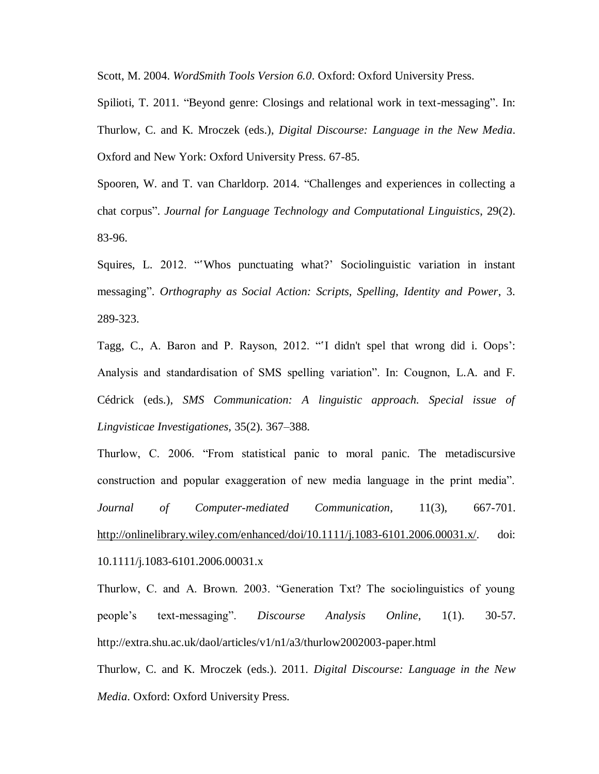Scott, M. 2004. *WordSmith Tools Version 6.0*. Oxford: Oxford University Press.

Spilioti, T. 2011. "Beyond genre: Closings and relational work in text-messaging". In: Thurlow, C. and K. Mroczek (eds.), *Digital Discourse: Language in the New Media*. Oxford and New York: Oxford University Press. 67-85.

Spooren, W. and T. van Charldorp. 2014. "Challenges and experiences in collecting a chat corpus". *Journal for Language Technology and Computational Linguistics*, 29(2). 83-96.

Squires, L. 2012. "Whos punctuating what?' Sociolinguistic variation in instant messaging". *Orthography as Social Action: Scripts, Spelling, Identity and Power*, 3. 289-323.

Tagg, C., A. Baron and P. Rayson, 2012. "ʽI didn't spel that wrong did i. Oops': Analysis and standardisation of SMS spelling variation". In: Cougnon, L.A. and F. Cédrick (eds.), *SMS Communication: A linguistic approach. Special issue of Lingvisticae Investigationes,* 35(2). 367–388.

Thurlow, C. 2006. "From statistical panic to moral panic. The metadiscursive construction and popular exaggeration of new media language in the print media". *Journal of Computer-mediated Communication*, 11(3), 667-701. [http://onlinelibrary.wiley.com/enhanced/doi/10.1111/j.1083-6101.2006.00031.x/.](http://onlinelibrary.wiley.com/enhanced/doi/10.1111/j.1083-6101.2006.00031.x/) doi: 10.1111/j.1083-6101.2006.00031.x

Thurlow, C. and A. Brown. 2003. "Generation Txt? The sociolinguistics of young people's text-messaging". *Discourse Analysis Online*, 1(1). 30-57. http://extra.shu.ac.uk/daol/articles/v1/n1/a3/thurlow2002003-paper.html

Thurlow, C. and K. Mroczek (eds.). 2011. *Digital Discourse: Language in the New Media*. Oxford: Oxford University Press.